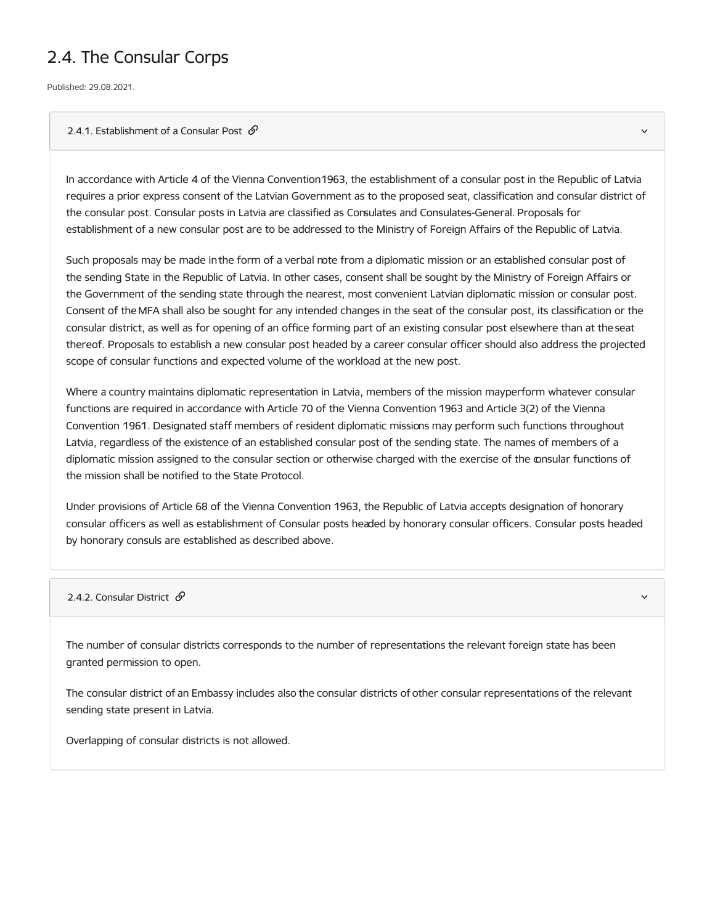## 2.4. The Consular Corps

Published: 29.08.2021.

## 2.4.1. Establishment of a Consular Post  $\mathcal O$

In accordance with Article 4 of the Vienna Convention1963, the establishment of a consular post in the Republic of Latvia requires a prior express consent of the Latvian Government as to the proposed seat, classification and consular district of the consular post. Consular posts in Latvia are classified as Consulates and Consulates-General. Proposals for establishment of a new consular post are to be addressed to the Ministry of Foreign Affairs of the Republic of Latvia.

Such proposals may be made inthe form of a verbal note from a diplomatic mission or an established consular post of the sending State in the Republic of Latvia. In other cases, consent shall be sought by the Ministry of Foreign Affairs or the Government of the sending state through the nearest, most convenient Latvian diplomatic mission or consular post. Consent of the MFA shall also be sought for any intended changes in the seat of the consular post, its classification or the consular district, as well as for opening of an office forming part of an existing consular post elsewhere than at the seat thereof. Proposals to establish a new consular post headed by a career consular officer should also address the projected scope of consular functions and expected volume of the workload at the new post.

Where a country maintains diplomatic representation in Latvia, members of the mission mayperform whatever consular functions are required in accordance with Article 70 of the Vienna Convention 1963 and Article 3(2) of the Vienna Convention 1961. Designated staff members of resident diplomatic missions may perform such functions throughout Latvia, regardless of the existence of an established consular post of the sending state. The names of members of a diplomatic mission assigned to the consular section or otherwise charged with the exercise of the consular functions of the mission shall be notified to the State Protocol.

Under provisions of Article 68 of the Vienna Convention 1963, the Republic of Latvia accepts designation of honorary consular officers as well as establishment of Consular posts headed by honorary consular officers. Consular posts headed by honorary consuls are established as described above.

2.4.2. Consular District  $\mathcal{S}$ 

The number of consular districts corresponds to the number of representations the relevant foreign state has been granted permission to open.

The consular district of an Embassy includes also the consular districts of other consular representations of the relevant sending state present in Latvia.

Overlapping of consular districts is not allowed.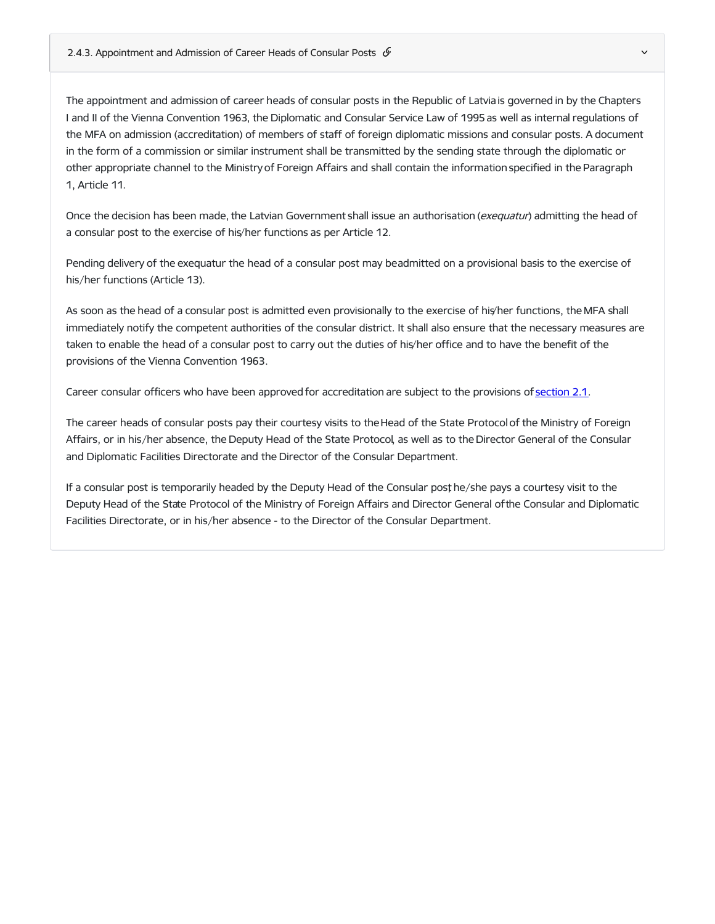The appointment and admission of career heads of consular posts in the Republic of Latvia is governed in by the Chapters I and II of the Vienna Convention 1963, the Diplomatic and Consular Service Law of 1995 as well as internal regulations of the MFA on admission (accreditation) of members of staff of foreign diplomatic missions and consular posts. A document in the form of a commission or similar instrument shall be transmitted by the sending state through the diplomatic or other appropriate channel to the Ministry of Foreign Affairs and shall contain the information specified in the Paragraph 1, Article 11.

Once the decision has been made, the Latvian Government shall issue an authorisation (exequatur) admitting the head of a consular post to the exercise of his/her functions as per Article 12.

Pending delivery of the exequatur the head of a consular post may beadmitted on a provisional basis to the exercise of his/her functions (Article 13).

As soon as the head of a consular post is admitted even provisionally to the exercise of his/her functions, the MFA shall immediately notify the competent authorities of the consular district. It shall also ensure that the necessary measures are taken to enable the head of a consular post to carry out the duties of his/her office and to have the benefit of the provisions of the Vienna Convention 1963.

Career consular officers who have been approved for accreditation are subject to the provisions of [section](https://www.mfa.gov.lv/en/21-arrival-and-departure-members-diplomatic-missions-consular-posts) 2.1.

The career heads of consular posts pay their courtesy visits to the Head of the State Protocol of the Ministry of Foreign Affairs, or in his/her absence, the Deputy Head of the State Protocol, as well as to the Director General of the Consular and Diplomatic Facilities Directorate and the Director of the Consular Department.

If a consular post is temporarily headed by the Deputy Head of the Consular post he/she pays a courtesy visit to the Deputy Head of the State Protocol of the Ministry of Foreign Affairs and Director General ofthe Consular and Diplomatic Facilities Directorate, or in his/her absence - to the Director of the Consular Department.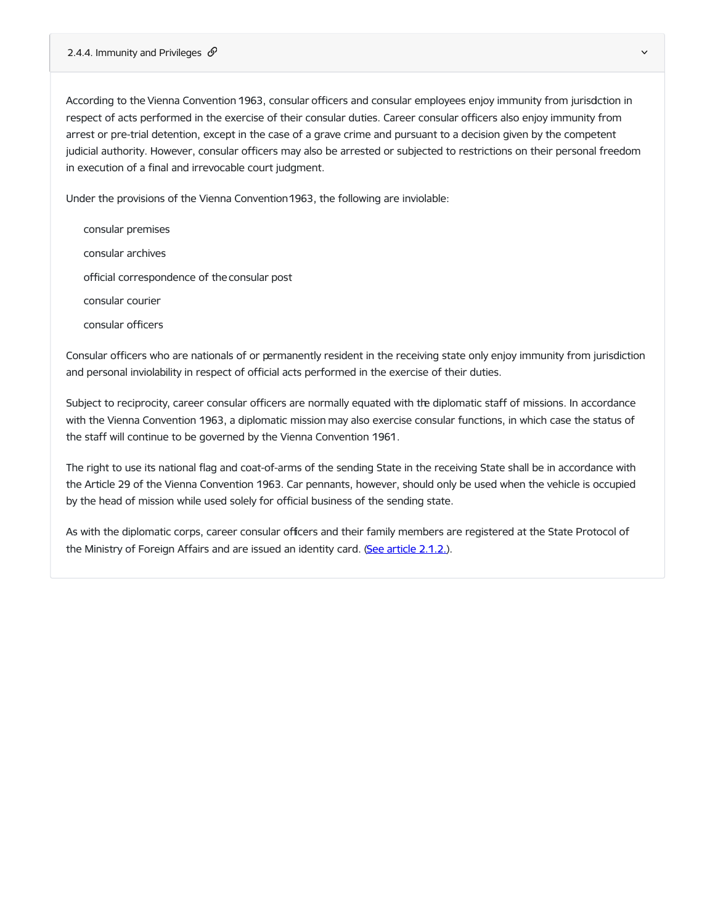According to the Vienna Convention 1963, consular officers and consular employees enjoy immunity from jurisdction in respect of acts performed in the exercise of their consular duties. Career consular officers also enjoy immunity from arrest or pre-trial detention, except in the case of a grave crime and pursuant to a decision given by the competent judicial authority. However, consular officers may also be arrested or subjected to restrictions on their personal freedom in execution of a final and irrevocable court judgment.

Under the provisions of the Vienna Convention1963, the following are inviolable:

consular premises consular archives official correspondence of theconsular post consular courier consular officers

Consular officers who are nationals of or permanently resident in the receiving state only enjoy immunity from jurisdiction and personal inviolability in respect of official acts performed in the exercise of their duties.

Subject to reciprocity, career consular officers are normally equated with the diplomatic staff of missions. In accordance with the Vienna Convention 1963, a diplomatic mission may also exercise consular functions, in which case the status of the staff will continue to be governed by the Vienna Convention 1961.

The right to use its national flag and coat-of-arms of the sending State in the receiving State shall be in accordance with the Article 29 of the Vienna Convention 1963. Car pennants, however, should only be used when the vehicle is occupied by the head of mission while used solely for official business of the sending state.

As with the diplomatic corps, career consular officers and their family members are registered at the State Protocol of the Ministry of Foreign Affairs and are issued an identity card. (See [article](https://www.mfa.gov.lv/en/21-arrival-and-departure-members-diplomatic-missions-consular-posts#212-identity-cards-id-cards) [2.1.2.](https://www.mfa.gov.lv/en/21-arrival-and-departure-members-diplomatic-missions-consular-posts#212-identity-cards-id-cards)).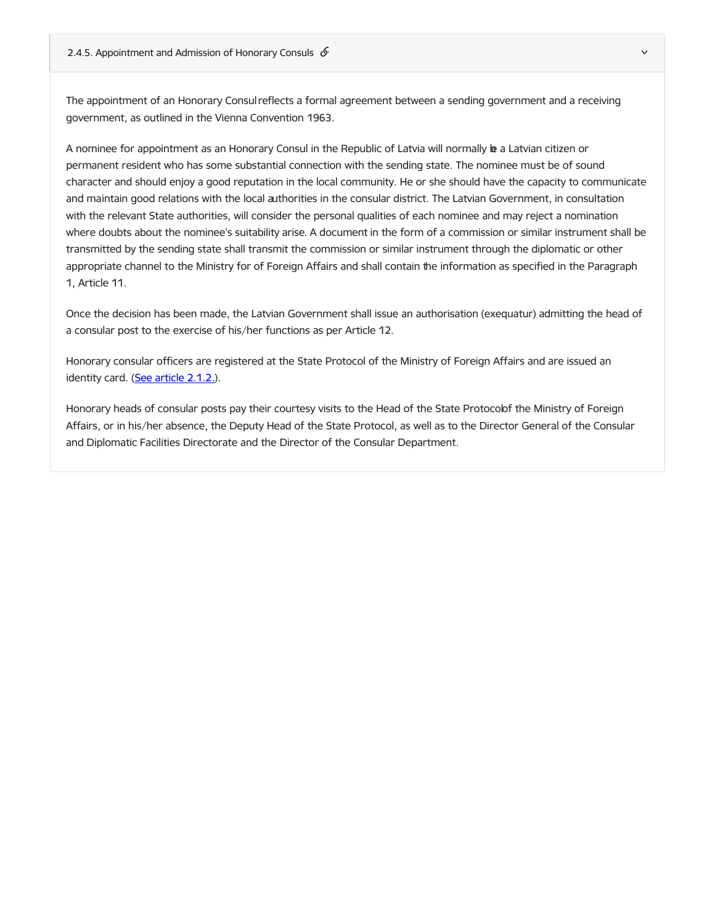The appointment of an Honorary Consul reflects a formal agreement between a sending government and a receiving government, as outlined in the Vienna Convention 1963.

A nominee for appointment as an Honorary Consul in the Republic of Latvia will normally be a Latvian citizen or permanent resident who has some substantial connection with the sending state. The nominee must be of sound character and should enjoy a good reputation in the local community. He or she should have the capacity to communicate and maintain good relations with the local authorities in the consular district. The Latvian Government, in consultation with the relevant State authorities, will consider the personal qualities of each nominee and may reject a nomination where doubts about the nominee's suitability arise. A document in the form of a commission or similar instrument shall be transmitted by the sending state shall transmit the commission or similar instrument through the diplomatic or other appropriate channel to the Ministry for of Foreign Affairs and shall contain the information as specified in the Paragraph 1, Article 11.

Once the decision has been made, the Latvian Government shall issue an authorisation (exequatur) admitting the head of a consular post to the exercise of his/her functions as per Article 12.

Honorary consular officers are registered at the State Protocol of the Ministry of Foreign Affairs and are issued an identity card. (See [article](https://www.mfa.gov.lv/node/3821#212-identity-cards-id-cards) [2.1.2.\)](https://www.mfa.gov.lv/node/3821#212-identity-cards-id-cards).

Honorary heads of consular posts pay their courtesy visits to the Head of the State Protocolof the Ministry of Foreign Affairs, or in his/her absence, the Deputy Head of the State Protocol, as well as to the Director General of the Consular and Diplomatic Facilities Directorate and the Director of the Consular Department.